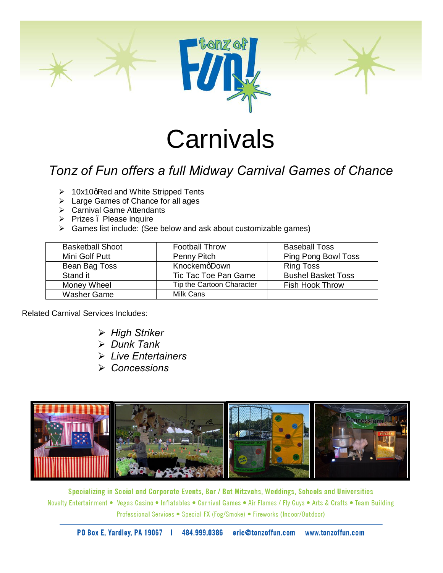

## **Carnivals**

## *Tonz of Fun offers a full Midway Carnival Games of Chance*

- $\geq 10x10q$  Red and White Stripped Tents
- $\triangleright$  Large Games of Chance for all ages
- $\triangleright$  Carnival Game Attendants
- $\triangleright$  Prizes . Please inquire
- $\triangleright$  Games list include: (See below and ask about customizable games)

| <b>Basketball Shoot</b> | <b>Football Throw</b>     | <b>Baseball Toss</b>      |
|-------------------------|---------------------------|---------------------------|
| Mini Golf Putt          | Penny Pitch               | Ping Pong Bowl Toss       |
| Bean Bag Toss           | KnockemgDown              | <b>Ring Toss</b>          |
| Stand it                | Tic Tac Toe Pan Game      | <b>Bushel Basket Toss</b> |
| Money Wheel             | Tip the Cartoon Character | <b>Fish Hook Throw</b>    |
| Washer Game             | Milk Cans                 |                           |
|                         |                           |                           |

Related Carnival Services Includes:

- ÿ *High Striker*
- ÿ *Dunk Tank*
- ÿ *Live Entertainers*
- ÿ *Concessions*



Specializing in Social and Corporate Events, Bar / Bat Mitzvahs, Weddings, Schools and Universities Novelty Entertainment • Vegas Casino • Inflatables • Carnival Games • Air Flames / Fly Guys • Arts & Crafts • Team Building Professional Services • Special FX (Fog/Smoke) • Fireworks (Indoor/Outdoor)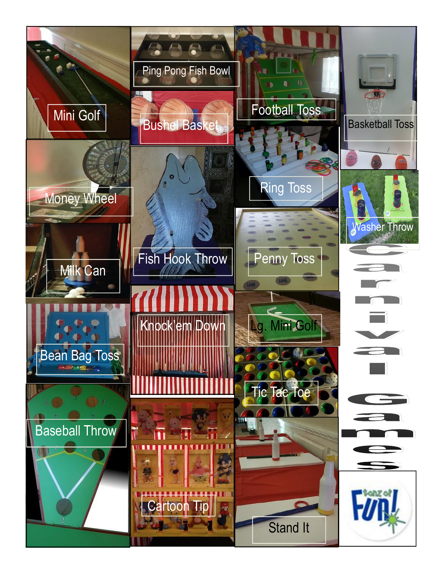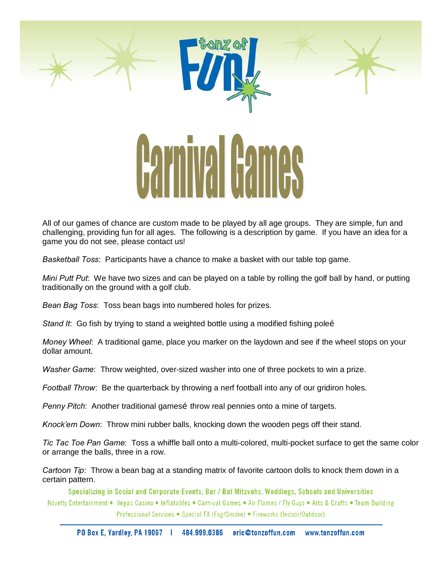

All of our games of chance are custom made to be played by all age groups. They are simple, fun and challenging, providing fun for all ages. The following is a description by game. If you have an idea for a game you do not see, please contact us!

*Basketball Toss*: Participants have a chance to make a basket with our table top game.

*Mini Putt Put*: We have two sizes and can be played on a table by rolling the golf ball by hand, or putting traditionally on the ground with a golf club.

*Bean Bag Toss*: Toss bean bags into numbered holes for prizes.

*Stand It*: Go fish by trying to stand a weighted bottle using a modified fishing poleo

*Money Wheel*: A traditional game, place you marker on the laydown and see if the wheel stops on your dollar amount.

*Washer Game*: Throw weighted, over-sized washer into one of three pockets to win a prize.

*Football Throw*: Be the quarterback by throwing a nerf football into any of our gridiron holes.

*Penny Pitch*: Another traditional games throw real pennies onto a mine of targets.

*Knock'em Down*: Throw mini rubber balls, knocking down the wooden pegs off their stand.

*Tic Tac Toe Pan Game*: Toss a whiffle ball onto a multi-colored, multi-pocket surface to get the same color or arrange the balls, three in a row.

*Cartoon Tip*: Throw a bean bag at a standing matrix of favorite cartoon dolls to knock them down in a certain pattern.

Specializing in Social and Corporate Events, Bar / Bat Mitzvahs, Weddings, Schools and Universities Novelty Entertainment • Vegas Casino • Inflatables • Carnival Games • Air Flames / Fly Guys • Arts & Crafts • Team Building Professional Services • Special FX (Fog/Smoke) • Fireworks (Indoor/Outdoor)